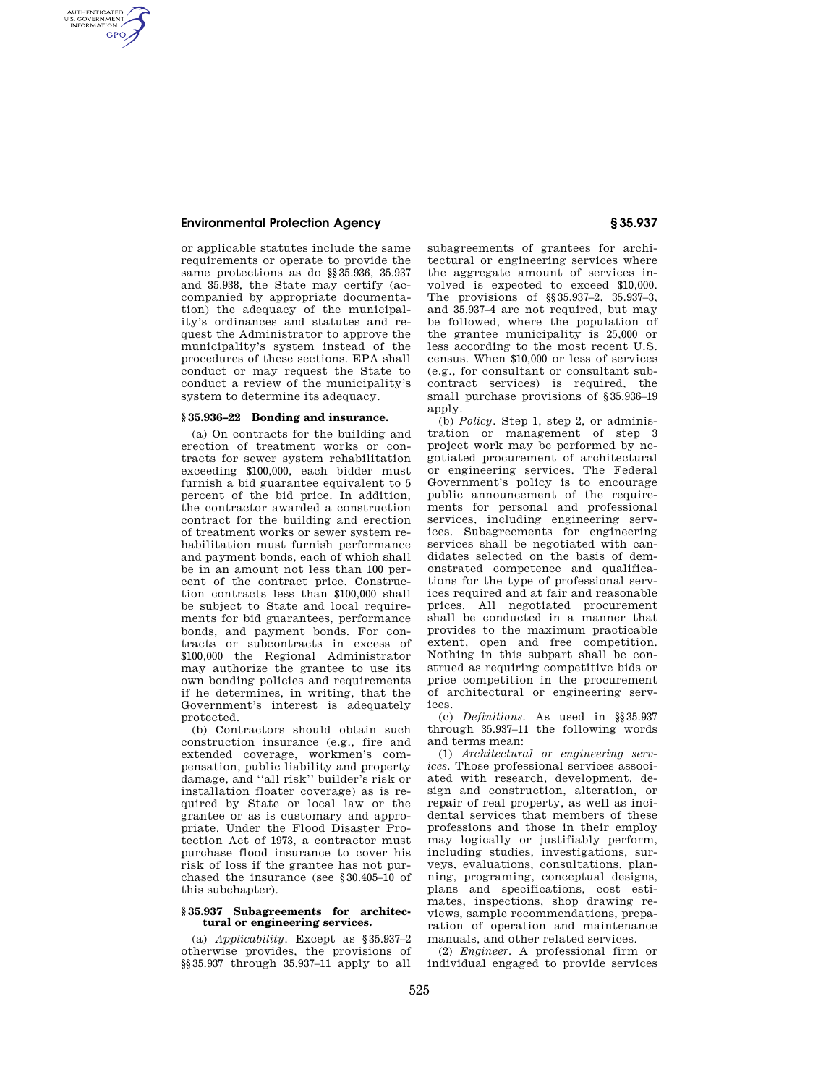# **Environmental Protection Agency § 35.937**

AUTHENTICATED<br>U.S. GOVERNMENT<br>INFORMATION **GPO** 

> or applicable statutes include the same requirements or operate to provide the same protections as do §§35.936, 35.937 and 35.938, the State may certify (accompanied by appropriate documentation) the adequacy of the municipality's ordinances and statutes and request the Administrator to approve the municipality's system instead of the procedures of these sections. EPA shall conduct or may request the State to conduct a review of the municipality's system to determine its adequacy.

### **§ 35.936–22 Bonding and insurance.**

(a) On contracts for the building and erection of treatment works or contracts for sewer system rehabilitation exceeding \$100,000, each bidder must furnish a bid guarantee equivalent to 5 percent of the bid price. In addition, the contractor awarded a construction contract for the building and erection of treatment works or sewer system rehabilitation must furnish performance and payment bonds, each of which shall be in an amount not less than 100 percent of the contract price. Construction contracts less than \$100,000 shall be subject to State and local requirements for bid guarantees, performance bonds, and payment bonds. For contracts or subcontracts in excess of \$100,000 the Regional Administrator may authorize the grantee to use its own bonding policies and requirements if he determines, in writing, that the Government's interest is adequately protected.

(b) Contractors should obtain such construction insurance (e.g., fire and extended coverage, workmen's compensation, public liability and property damage, and ''all risk'' builder's risk or installation floater coverage) as is required by State or local law or the grantee or as is customary and appropriate. Under the Flood Disaster Protection Act of 1973, a contractor must purchase flood insurance to cover his risk of loss if the grantee has not purchased the insurance (see §30.405–10 of this subchapter).

## **§ 35.937 Subagreements for architectural or engineering services.**

(a) *Applicability.* Except as §35.937–2 otherwise provides, the provisions of §§35.937 through 35.937–11 apply to all subagreements of grantees for architectural or engineering services where the aggregate amount of services involved is expected to exceed \$10,000. The provisions of §§35.937–2, 35.937–3, and 35.937–4 are not required, but may be followed, where the population of the grantee municipality is 25,000 or less according to the most recent U.S. census. When \$10,000 or less of services (e.g., for consultant or consultant subcontract services) is required, the small purchase provisions of §35.936–19 apply.

(b) *Policy.* Step 1, step 2, or administration or management of step 3 project work may be performed by negotiated procurement of architectural or engineering services. The Federal Government's policy is to encourage public announcement of the requirements for personal and professional services, including engineering services. Subagreements for engineering services shall be negotiated with candidates selected on the basis of demonstrated competence and qualifications for the type of professional services required and at fair and reasonable prices. All negotiated procurement shall be conducted in a manner that provides to the maximum practicable extent, open and free competition. Nothing in this subpart shall be construed as requiring competitive bids or price competition in the procurement of architectural or engineering services.

(c) *Definitions.* As used in §§35.937 through 35.937–11 the following words and terms mean:

(1) *Architectural or engineering services.* Those professional services associated with research, development, design and construction, alteration, or repair of real property, as well as incidental services that members of these professions and those in their employ may logically or justifiably perform, including studies, investigations, surveys, evaluations, consultations, planning, programing, conceptual designs, plans and specifications, cost estimates, inspections, shop drawing reviews, sample recommendations, preparation of operation and maintenance manuals, and other related services.

(2) *Engineer.* A professional firm or individual engaged to provide services